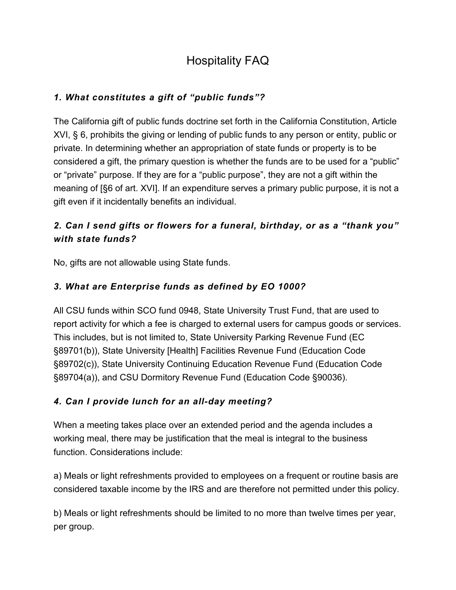# Hospitality FAQ

### *1. What constitutes a gift of "public funds"?*

The California gift of public funds doctrine set forth in the California Constitution, Article XVI, § 6, prohibits the giving or lending of public funds to any person or entity, public or private. In determining whether an appropriation of state funds or property is to be considered a gift, the primary question is whether the funds are to be used for a "public" or "private" purpose. If they are for a "public purpose", they are not a gift within the meaning of [§6 of art. XVI]. If an expenditure serves a primary public purpose, it is not a gift even if it incidentally benefits an individual.

# *2. Can I send gifts or flowers for a funeral, birthday, or as a "thank you" with state funds?*

No, gifts are not allowable using State funds.

# *3. What are Enterprise funds as defined by EO 1000?*

All CSU funds within SCO fund 0948, State University Trust Fund, that are used to report activity for which a fee is charged to external users for campus goods or services. This includes, but is not limited to, State University Parking Revenue Fund (EC §89701(b)), State University [Health] Facilities Revenue Fund (Education Code §89702(c)), State University Continuing Education Revenue Fund (Education Code §89704(a)), and CSU Dormitory Revenue Fund (Education Code §90036).

### *4. Can I provide lunch for an all-day meeting?*

When a meeting takes place over an extended period and the agenda includes a working meal, there may be justification that the meal is integral to the business function. Considerations include:

a) Meals or light refreshments provided to employees on a frequent or routine basis are considered taxable income by the IRS and are therefore not permitted under this policy.

b) Meals or light refreshments should be limited to no more than twelve times per year, per group.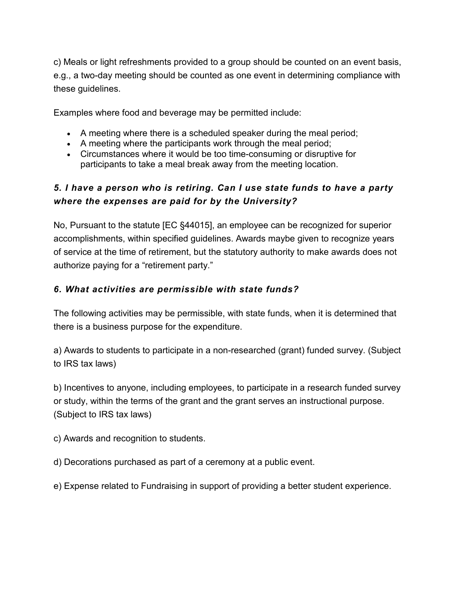c) Meals or light refreshments provided to a group should be counted on an event basis, e.g., a two-day meeting should be counted as one event in determining compliance with these guidelines.

Examples where food and beverage may be permitted include:

- A meeting where there is a scheduled speaker during the meal period;
- A meeting where the participants work through the meal period;
- Circumstances where it would be too time-consuming or disruptive for participants to take a meal break away from the meeting location.

# *5. I have a person who is retiring. Can I use state funds to have a party where the expenses are paid for by the University?*

No, Pursuant to the statute [EC §44015], an employee can be recognized for superior accomplishments, within specified guidelines. Awards maybe given to recognize years of service at the time of retirement, but the statutory authority to make awards does not authorize paying for a "retirement party."

### *6. What activities are permissible with state funds?*

The following activities may be permissible, with state funds, when it is determined that there is a business purpose for the expenditure.

a) Awards to students to participate in a non-researched (grant) funded survey. (Subject to IRS tax laws)

b) Incentives to anyone, including employees, to participate in a research funded survey or study, within the terms of the grant and the grant serves an instructional purpose. (Subject to IRS tax laws)

c) Awards and recognition to students.

d) Decorations purchased as part of a ceremony at a public event.

e) Expense related to Fundraising in support of providing a better student experience.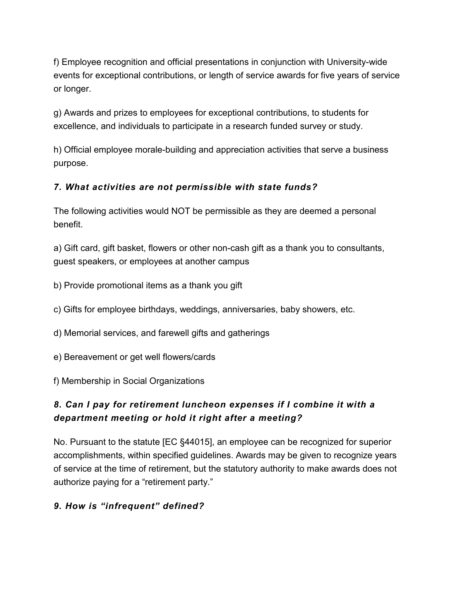f) Employee recognition and official presentations in conjunction with University-wide events for exceptional contributions, or length of service awards for five years of service or longer.

g) Awards and prizes to employees for exceptional contributions, to students for excellence, and individuals to participate in a research funded survey or study.

h) Official employee morale-building and appreciation activities that serve a business purpose.

### *7. What activities are not permissible with state funds?*

The following activities would NOT be permissible as they are deemed a personal benefit.

a) Gift card, gift basket, flowers or other non-cash gift as a thank you to consultants, guest speakers, or employees at another campus

- b) Provide promotional items as a thank you gift
- c) Gifts for employee birthdays, weddings, anniversaries, baby showers, etc.
- d) Memorial services, and farewell gifts and gatherings
- e) Bereavement or get well flowers/cards
- f) Membership in Social Organizations

### *8. Can I pay for retirement luncheon expenses if I combine it with a department meeting or hold it right after a meeting?*

No. Pursuant to the statute [EC §44015], an employee can be recognized for superior accomplishments, within specified guidelines. Awards may be given to recognize years of service at the time of retirement, but the statutory authority to make awards does not authorize paying for a "retirement party."

### *9. How is "infrequent" defined?*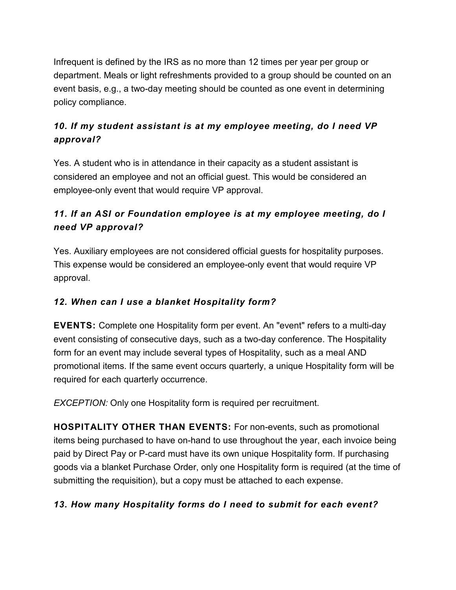Infrequent is defined by the IRS as no more than 12 times per year per group or department. Meals or light refreshments provided to a group should be counted on an event basis, e.g., a two-day meeting should be counted as one event in determining policy compliance.

# *10. If my student assistant is at my employee meeting, do I need VP approval?*

Yes. A student who is in attendance in their capacity as a student assistant is considered an employee and not an official guest. This would be considered an employee-only event that would require VP approval.

# *11. If an ASI or Foundation employee is at my employee meeting, do I need VP approval?*

Yes. Auxiliary employees are not considered official guests for hospitality purposes. This expense would be considered an employee-only event that would require VP approval.

### *12. When can I use a blanket Hospitality form?*

**EVENTS:** Complete one Hospitality form per event. An "event" refers to a multi-day event consisting of consecutive days, such as a two-day conference. The Hospitality form for an event may include several types of Hospitality, such as a meal AND promotional items. If the same event occurs quarterly, a unique Hospitality form will be required for each quarterly occurrence.

*EXCEPTION:* Only one Hospitality form is required per recruitment.

**HOSPITALITY OTHER THAN EVENTS:** For non-events, such as promotional items being purchased to have on-hand to use throughout the year, each invoice being paid by Direct Pay or P-card must have its own unique Hospitality form. If purchasing goods via a blanket Purchase Order, only one Hospitality form is required (at the time of submitting the requisition), but a copy must be attached to each expense.

### *13. How many Hospitality forms do I need to submit for each event?*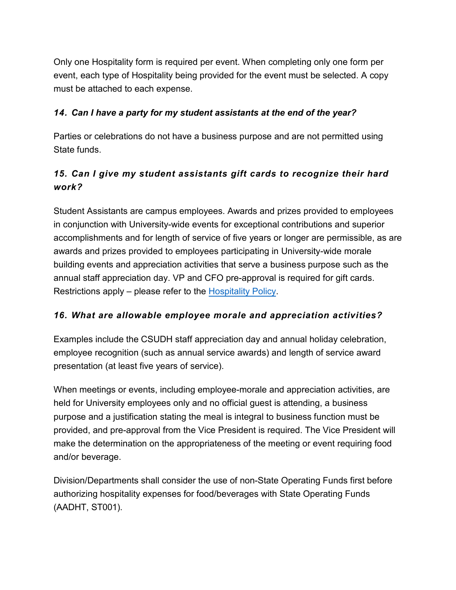Only one Hospitality form is required per event. When completing only one form per event, each type of Hospitality being provided for the event must be selected. A copy must be attached to each expense.

### *14. Can I have a party for my student assistants at the end of the year?*

Parties or celebrations do not have a business purpose and are not permitted using State funds.

# *15. Can I give my student assistants gift cards to recognize their hard work?*

Student Assistants are campus employees. Awards and prizes provided to employees in conjunction with University-wide events for exceptional contributions and superior accomplishments and for length of service of five years or longer are permissible, as are awards and prizes provided to employees participating in University-wide morale building events and appreciation activities that serve a business purpose such as the annual staff appreciation day. VP and CFO pre-approval is required for gift cards. Restrictions apply – please refer to the [Hospitality Policy.](https://www.csudh.edu/Assets/csudh-sites/accounting-services/docs/Hospitality-Policy.pdf?Hospitality+Policy)

### *16. What are allowable employee morale and appreciation activities?*

Examples include the CSUDH staff appreciation day and annual holiday celebration, employee recognition (such as annual service awards) and length of service award presentation (at least five years of service).

When meetings or events, including employee-morale and appreciation activities, are held for University employees only and no official guest is attending, a business purpose and a justification stating the meal is integral to business function must be provided, and pre-approval from the Vice President is required. The Vice President will make the determination on the appropriateness of the meeting or event requiring food and/or beverage.

Division/Departments shall consider the use of non-State Operating Funds first before authorizing hospitality expenses for food/beverages with State Operating Funds (AADHT, ST001).